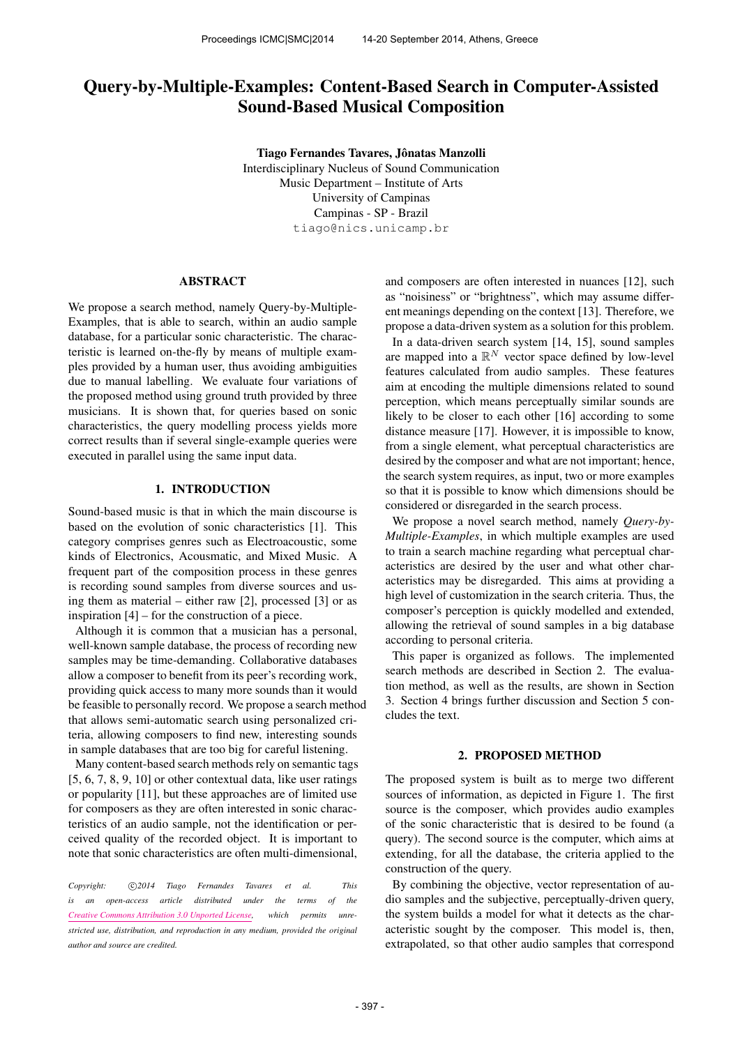# Query-by-Multiple-Examples: Content-Based Search in Computer-Assisted Sound-Based Musical Composition

Tiago Fernandes Tavares, Jônatas Manzolli Interdisciplinary Nucleus of Sound Communication Music Department – Institute of Arts University of Campinas Campinas - SP - Brazil [tiago@nics.unicamp.br](mailto:tiago@nics.unicamp.br)

## ABSTRACT

We propose a search method, namely Query-by-Multiple-Examples, that is able to search, within an audio sample database, for a particular sonic characteristic. The characteristic is learned on-the-fly by means of multiple examples provided by a human user, thus avoiding ambiguities due to manual labelling. We evaluate four variations of the proposed method using ground truth provided by three musicians. It is shown that, for queries based on sonic characteristics, the query modelling process yields more correct results than if several single-example queries were executed in parallel using the same input data.

## 1. INTRODUCTION

Sound-based music is that in which the main discourse is based on the evolution of sonic characteristics [1]. This category comprises genres such as Electroacoustic, some kinds of Electronics, Acousmatic, and Mixed Music. A frequent part of the composition process in these genres is recording sound samples from diverse sources and using them as material – either raw [2], processed [3] or as inspiration [4] – for the construction of a piece.

Although it is common that a musician has a personal, well-known sample database, the process of recording new samples may be time-demanding. Collaborative databases allow a composer to benefit from its peer's recording work, providing quick access to many more sounds than it would be feasible to personally record. We propose a search method that allows semi-automatic search using personalized criteria, allowing composers to find new, interesting sounds in sample databases that are too big for careful listening.

Many content-based search methods rely on semantic tags [5, 6, 7, 8, 9, 10] or other contextual data, like user ratings or popularity [11], but these approaches are of limited use for composers as they are often interested in sonic characteristics of an audio sample, not the identification or perceived quality of the recorded object. It is important to note that sonic characteristics are often multi-dimensional,

Copyright:  $\bigcirc$  2014 Tiago Fernandes Tavares et al. This *is an open-access article distributed under the terms of the [Creative Commons Attribution 3.0 Unported License,](http://creativecommons.org/licenses/by/3.0/) which permits unrestricted use, distribution, and reproduction in any medium, provided the original author and source are credited.*

and composers are often interested in nuances [12], such as "noisiness" or "brightness", which may assume different meanings depending on the context [13]. Therefore, we propose a data-driven system as a solution for this problem.

In a data-driven search system [14, 15], sound samples are mapped into a  $\mathbb{R}^N$  vector space defined by low-level features calculated from audio samples. These features aim at encoding the multiple dimensions related to sound perception, which means perceptually similar sounds are likely to be closer to each other [16] according to some distance measure [17]. However, it is impossible to know, from a single element, what perceptual characteristics are desired by the composer and what are not important; hence, the search system requires, as input, two or more examples so that it is possible to know which dimensions should be considered or disregarded in the search process.

We propose a novel search method, namely *Query-by-Multiple-Examples*, in which multiple examples are used to train a search machine regarding what perceptual characteristics are desired by the user and what other characteristics may be disregarded. This aims at providing a high level of customization in the search criteria. Thus, the composer's perception is quickly modelled and extended, allowing the retrieval of sound samples in a big database according to personal criteria.

This paper is organized as follows. The implemented search methods are described in Section 2. The evaluation method, as well as the results, are shown in Section 3. Section 4 brings further discussion and Section 5 concludes the text.

## 2. PROPOSED METHOD

The proposed system is built as to merge two different sources of information, as depicted in Figure 1. The first source is the composer, which provides audio examples of the sonic characteristic that is desired to be found (a query). The second source is the computer, which aims at extending, for all the database, the criteria applied to the construction of the query.

By combining the objective, vector representation of audio samples and the subjective, perceptually-driven query, the system builds a model for what it detects as the characteristic sought by the composer. This model is, then, extrapolated, so that other audio samples that correspond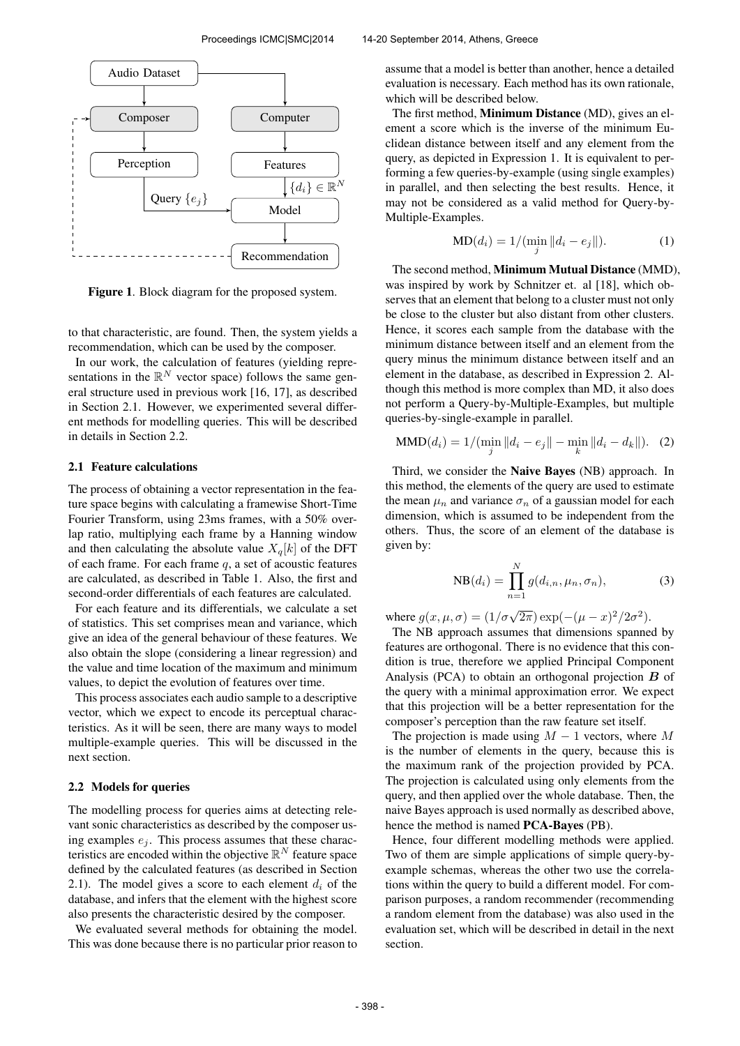

Figure 1. Block diagram for the proposed system.

to that characteristic, are found. Then, the system yields a recommendation, which can be used by the composer.

In our work, the calculation of features (yielding representations in the  $\mathbb{R}^N$  vector space) follows the same general structure used in previous work [16, 17], as described in Section 2.1. However, we experimented several different methods for modelling queries. This will be described in details in Section 2.2.

## 2.1 Feature calculations

The process of obtaining a vector representation in the feature space begins with calculating a framewise Short-Time Fourier Transform, using 23ms frames, with a 50% overlap ratio, multiplying each frame by a Hanning window and then calculating the absolute value  $X_q[k]$  of the DFT of each frame. For each frame  $q$ , a set of acoustic features are calculated, as described in Table 1. Also, the first and second-order differentials of each features are calculated.

For each feature and its differentials, we calculate a set of statistics. This set comprises mean and variance, which give an idea of the general behaviour of these features. We also obtain the slope (considering a linear regression) and the value and time location of the maximum and minimum values, to depict the evolution of features over time.

This process associates each audio sample to a descriptive vector, which we expect to encode its perceptual characteristics. As it will be seen, there are many ways to model multiple-example queries. This will be discussed in the next section.

## 2.2 Models for queries

The modelling process for queries aims at detecting relevant sonic characteristics as described by the composer using examples  $e_i$ . This process assumes that these characteristics are encoded within the objective  $\mathbb{R}^N$  feature space defined by the calculated features (as described in Section 2.1). The model gives a score to each element  $d_i$  of the database, and infers that the element with the highest score also presents the characteristic desired by the composer.

We evaluated several methods for obtaining the model. This was done because there is no particular prior reason to assume that a model is better than another, hence a detailed

evaluation is necessary. Each method has its own rationale, which will be described below.

The first method, Minimum Distance (MD), gives an element a score which is the inverse of the minimum Euclidean distance between itself and any element from the query, as depicted in Expression 1. It is equivalent to performing a few queries-by-example (using single examples) in parallel, and then selecting the best results. Hence, it may not be considered as a valid method for Query-by-Multiple-Examples.

$$
MD(d_i) = 1/(\min_j ||d_i - e_j||). \tag{1}
$$

The second method, Minimum Mutual Distance (MMD), was inspired by work by Schnitzer et. al [18], which observes that an element that belong to a cluster must not only be close to the cluster but also distant from other clusters. Hence, it scores each sample from the database with the minimum distance between itself and an element from the query minus the minimum distance between itself and an element in the database, as described in Expression 2. Although this method is more complex than MD, it also does not perform a Query-by-Multiple-Examples, but multiple queries-by-single-example in parallel.

$$
\text{MMD}(d_i) = 1/(\min_j ||d_i - e_j|| - \min_k ||d_i - d_k||). \tag{2}
$$

Third, we consider the Naive Bayes (NB) approach. In this method, the elements of the query are used to estimate the mean  $\mu_n$  and variance  $\sigma_n$  of a gaussian model for each dimension, which is assumed to be independent from the others. Thus, the score of an element of the database is given by:

$$
NB(d_i) = \prod_{n=1}^{N} g(d_{i,n}, \mu_n, \sigma_n),
$$
\n(3)

where  $g(x, \mu, \sigma) = (1/\sigma\sqrt{2\pi}) \exp(-(\mu - x)^2/2\sigma^2)$ .

The NB approach assumes that dimensions spanned by features are orthogonal. There is no evidence that this condition is true, therefore we applied Principal Component Analysis (PCA) to obtain an orthogonal projection  $\boldsymbol{B}$  of the query with a minimal approximation error. We expect that this projection will be a better representation for the composer's perception than the raw feature set itself.

The projection is made using  $M - 1$  vectors, where M is the number of elements in the query, because this is the maximum rank of the projection provided by PCA. The projection is calculated using only elements from the query, and then applied over the whole database. Then, the naive Bayes approach is used normally as described above, hence the method is named PCA-Bayes (PB).

Hence, four different modelling methods were applied. Two of them are simple applications of simple query-byexample schemas, whereas the other two use the correlations within the query to build a different model. For comparison purposes, a random recommender (recommending a random element from the database) was also used in the evaluation set, which will be described in detail in the next section.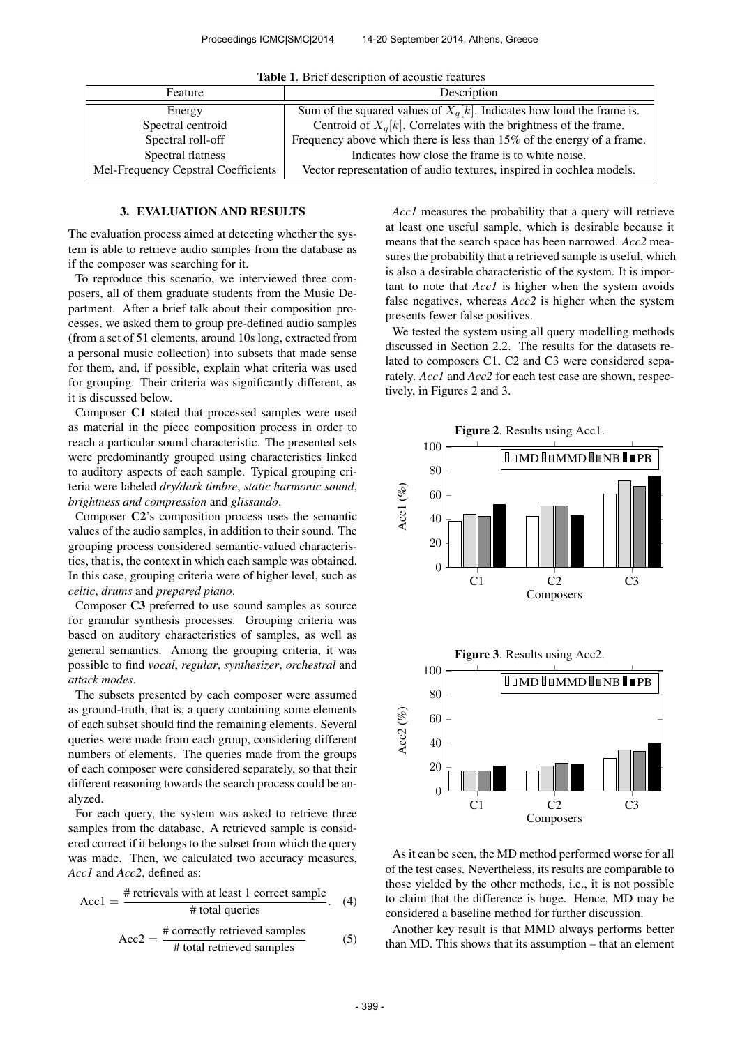| $-$ 0.0 $-$ 0.0 $-$ 0.0 $-$ 0.0 $-$ 0.0 $-$ 0.0 $-$ 0.0 $-$ 0.0 $-$ 0.0 $-$ 0.0 $-$ 0.0 $-$ 0.0 $-$ 0.0 $-$ 0.0 $-$ 0.0 $-$ 0.0 $-$ 0.0 $-$ 0.0 $-$ 0.0 $-$ 0.0 $-$ 0.0 $-$ 0.0 $-$ 0.0 $-$ 0.0 $-$ 0.0 $-$ 0.0 $-$ 0.0 $-$ 0 |                                                                          |
|-------------------------------------------------------------------------------------------------------------------------------------------------------------------------------------------------------------------------------|--------------------------------------------------------------------------|
| Feature                                                                                                                                                                                                                       | Description                                                              |
| Energy                                                                                                                                                                                                                        | Sum of the squared values of $X_q[k]$ . Indicates how loud the frame is. |
| Spectral centroid                                                                                                                                                                                                             | Centroid of $X_q[k]$ . Correlates with the brightness of the frame.      |
| Spectral roll-off                                                                                                                                                                                                             | Frequency above which there is less than 15% of the energy of a frame.   |
| Spectral flatness                                                                                                                                                                                                             | Indicates how close the frame is to white noise.                         |
| Mel-Frequency Cepstral Coefficients                                                                                                                                                                                           | Vector representation of audio textures, inspired in cochlea models.     |

Table 1. Brief description of acoustic features

## 3. EVALUATION AND RESULTS

The evaluation process aimed at detecting whether the system is able to retrieve audio samples from the database as if the composer was searching for it.

To reproduce this scenario, we interviewed three composers, all of them graduate students from the Music Department. After a brief talk about their composition processes, we asked them to group pre-defined audio samples (from a set of 51 elements, around 10s long, extracted from a personal music collection) into subsets that made sense for them, and, if possible, explain what criteria was used for grouping. Their criteria was significantly different, as it is discussed below.

Composer C1 stated that processed samples were used as material in the piece composition process in order to reach a particular sound characteristic. The presented sets were predominantly grouped using characteristics linked to auditory aspects of each sample. Typical grouping criteria were labeled *dry/dark timbre*, *static harmonic sound*, *brightness and compression* and *glissando*.

Composer C2's composition process uses the semantic values of the audio samples, in addition to their sound. The grouping process considered semantic-valued characteristics, that is, the context in which each sample was obtained. In this case, grouping criteria were of higher level, such as *celtic*, *drums* and *prepared piano*.

Composer C3 preferred to use sound samples as source for granular synthesis processes. Grouping criteria was based on auditory characteristics of samples, as well as general semantics. Among the grouping criteria, it was possible to find *vocal*, *regular*, *synthesizer*, *orchestral* and *attack modes*.

The subsets presented by each composer were assumed as ground-truth, that is, a query containing some elements of each subset should find the remaining elements. Several queries were made from each group, considering different numbers of elements. The queries made from the groups of each composer were considered separately, so that their different reasoning towards the search process could be analyzed.

For each query, the system was asked to retrieve three samples from the database. A retrieved sample is considered correct if it belongs to the subset from which the query was made. Then, we calculated two accuracy measures, *Acc1* and *Acc2*, defined as:

$$
Acc1 = \frac{\text{\# retrievals with at least 1 correct sample}}{\text{\# total queries}}.
$$
 (4)

$$
Acc2 = \frac{\text{\# correctly retrieved samples}}{\text{\# total retrieved samples}}
$$
 (5)

*Acc1* measures the probability that a query will retrieve at least one useful sample, which is desirable because it means that the search space has been narrowed. *Acc2* measures the probability that a retrieved sample is useful, which is also a desirable characteristic of the system. It is important to note that *Acc1* is higher when the system avoids false negatives, whereas *Acc2* is higher when the system presents fewer false positives.

We tested the system using all query modelling methods discussed in Section 2.2. The results for the datasets related to composers C1, C2 and C3 were considered separately. *Acc1* and *Acc2* for each test case are shown, respectively, in Figures 2 and 3.



As it can be seen, the MD method performed worse for all of the test cases. Nevertheless, its results are comparable to those yielded by the other methods, i.e., it is not possible to claim that the difference is huge. Hence, MD may be considered a baseline method for further discussion.

Another key result is that MMD always performs better than MD. This shows that its assumption – that an element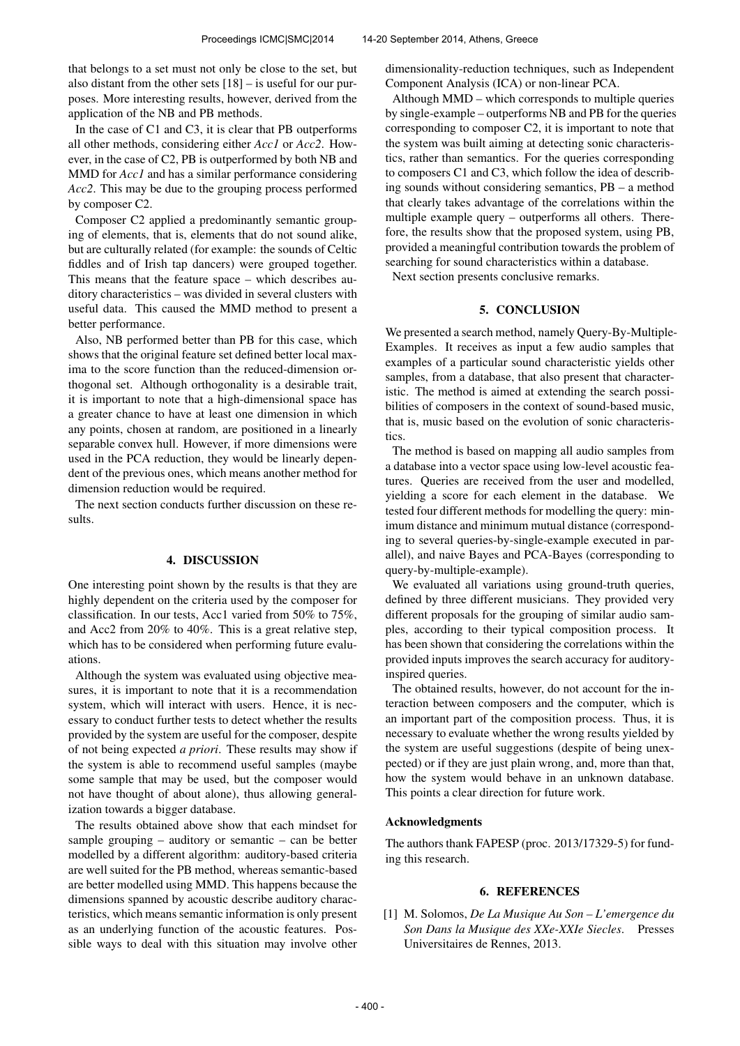that belongs to a set must not only be close to the set, but also distant from the other sets [18] – is useful for our purposes. More interesting results, however, derived from the application of the NB and PB methods.

In the case of C1 and C3, it is clear that PB outperforms all other methods, considering either *Acc1* or *Acc2*. However, in the case of C2, PB is outperformed by both NB and MMD for *Acc1* and has a similar performance considering *Acc2*. This may be due to the grouping process performed by composer C2.

Composer C2 applied a predominantly semantic grouping of elements, that is, elements that do not sound alike, but are culturally related (for example: the sounds of Celtic fiddles and of Irish tap dancers) were grouped together. This means that the feature space – which describes auditory characteristics – was divided in several clusters with useful data. This caused the MMD method to present a better performance.

Also, NB performed better than PB for this case, which shows that the original feature set defined better local maxima to the score function than the reduced-dimension orthogonal set. Although orthogonality is a desirable trait, it is important to note that a high-dimensional space has a greater chance to have at least one dimension in which any points, chosen at random, are positioned in a linearly separable convex hull. However, if more dimensions were used in the PCA reduction, they would be linearly dependent of the previous ones, which means another method for dimension reduction would be required.

The next section conducts further discussion on these results.

## 4. DISCUSSION

One interesting point shown by the results is that they are highly dependent on the criteria used by the composer for classification. In our tests, Acc1 varied from 50% to 75%, and Acc2 from 20% to 40%. This is a great relative step, which has to be considered when performing future evaluations.

Although the system was evaluated using objective measures, it is important to note that it is a recommendation system, which will interact with users. Hence, it is necessary to conduct further tests to detect whether the results provided by the system are useful for the composer, despite of not being expected *a priori*. These results may show if the system is able to recommend useful samples (maybe some sample that may be used, but the composer would not have thought of about alone), thus allowing generalization towards a bigger database.

The results obtained above show that each mindset for sample grouping – auditory or semantic – can be better modelled by a different algorithm: auditory-based criteria are well suited for the PB method, whereas semantic-based are better modelled using MMD. This happens because the dimensions spanned by acoustic describe auditory characteristics, which means semantic information is only present as an underlying function of the acoustic features. Possible ways to deal with this situation may involve other

dimensionality-reduction techniques, such as Independent Component Analysis (ICA) or non-linear PCA.

Although MMD – which corresponds to multiple queries by single-example – outperforms NB and PB for the queries corresponding to composer C2, it is important to note that the system was built aiming at detecting sonic characteristics, rather than semantics. For the queries corresponding to composers C1 and C3, which follow the idea of describing sounds without considering semantics, PB – a method that clearly takes advantage of the correlations within the multiple example query – outperforms all others. Therefore, the results show that the proposed system, using PB, provided a meaningful contribution towards the problem of searching for sound characteristics within a database.

Next section presents conclusive remarks.

## 5. CONCLUSION

We presented a search method, namely Query-By-Multiple-Examples. It receives as input a few audio samples that examples of a particular sound characteristic yields other samples, from a database, that also present that characteristic. The method is aimed at extending the search possibilities of composers in the context of sound-based music, that is, music based on the evolution of sonic characteristics.

The method is based on mapping all audio samples from a database into a vector space using low-level acoustic features. Queries are received from the user and modelled, yielding a score for each element in the database. We tested four different methods for modelling the query: minimum distance and minimum mutual distance (corresponding to several queries-by-single-example executed in parallel), and naive Bayes and PCA-Bayes (corresponding to query-by-multiple-example).

We evaluated all variations using ground-truth queries, defined by three different musicians. They provided very different proposals for the grouping of similar audio samples, according to their typical composition process. It has been shown that considering the correlations within the provided inputs improves the search accuracy for auditoryinspired queries.

The obtained results, however, do not account for the interaction between composers and the computer, which is an important part of the composition process. Thus, it is necessary to evaluate whether the wrong results yielded by the system are useful suggestions (despite of being unexpected) or if they are just plain wrong, and, more than that, how the system would behave in an unknown database. This points a clear direction for future work.

## Acknowledgments

The authors thank FAPESP (proc. 2013/17329-5) for funding this research.

## 6. REFERENCES

[1] M. Solomos, *De La Musique Au Son – L'emergence du Son Dans la Musique des XXe-XXIe Siecles*. Presses Universitaires de Rennes, 2013.